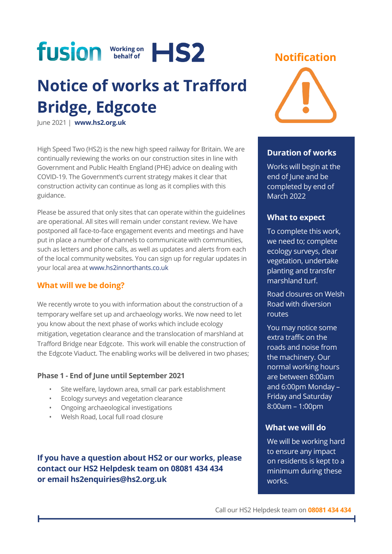

June 2021 | **[www.hs2.org.uk](http://www.hs2.org.uk/)**

High Speed Two (HS2) is the new high speed railway for Britain. We are continually reviewing the works on our construction sites in line with Government and Public Health England (PHE) advice on dealing with COVID-19. The Government's current strategy makes it clear that construction activity can continue as long as it complies with this guidance.

Please be assured that only sites that can operate within the guidelines are operational. All sites will remain under constant review. We have postponed all face-to-face engagement events and meetings and have put in place a number of channels to communicate with communities, such as letters and phone calls, as well as updates and alerts from each of the local community websites. You can sign up for regular updates in your local area at [www.hs2innorthants.co.uk](http://www.hs2innorthants.co.uk/)

#### **What will we be doing?**

We recently wrote to you with information about the construction of a temporary welfare set up and archaeology works. We now need to let you know about the next phase of works which include ecology mitigation, vegetation clearance and the translocation of marshland at Trafford Bridge near Edgcote. This work will enable the construction of the Edgcote Viaduct. The enabling works will be delivered in two phases;

#### **Phase 1 - End of June until September 2021**

- Site welfare, laydown area, small car park establishment
- Ecology surveys and vegetation clearance
- Ongoing archaeological investigations
- Welsh Road, Local full road closure

**If you have a question about HS2 or our works, please contact our HS2 Helpdesk team on 08081 434 434 or email hs2enquiries@hs2.org.uk**

### **Notification**



#### **Duration of works**

Works will begin at the end of lune and be completed by end of March 2022

#### **What to expect**

To complete this work, we need to; complete ecology surveys, clear vegetation, undertake planting and transfer marshland turf.

Road closures on Welsh Road with diversion routes

You may notice some extra traffic on the roads and noise from the machinery. Our normal working hours are between 8:00am and 6:00pm Monday – Friday and Saturday 8:00am – 1:00pm

#### **What we will do**

We will be working hard to ensure any impact on residents is kept to a minimum during these works.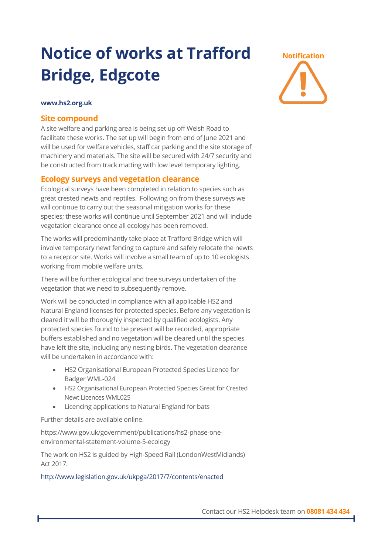

#### **www.hs2.org.uk**

#### **Site compound**

A site welfare and parking area is being set up off Welsh Road to facilitate these works. The set up will begin from end of June 2021 and will be used for welfare vehicles, staff car parking and the site storage of machinery and materials. The site will be secured with 24/7 security and be constructed from track matting with low level temporary lighting.

#### **Ecology surveys and vegetation clearance**

Ecological surveys have been completed in relation to species such as great crested newts and reptiles. Following on from these surveys we will continue to carry out the seasonal mitigation works for these species; these works will continue until September 2021 and will include vegetation clearance once all ecology has been removed.

The works will predominantly take place at Trafford Bridge which will involve temporary newt fencing to capture and safely relocate the newts to a receptor site. Works will involve a small team of up to 10 ecologists working from mobile welfare units.

There will be further ecological and tree surveys undertaken of the vegetation that we need to subsequently remove.

Work will be conducted in compliance with all applicable HS2 and Natural England licenses for protected species. Before any vegetation is cleared it will be thoroughly inspected by qualified ecologists. Any protected species found to be present will be recorded, appropriate buffers established and no vegetation will be cleared until the species have left the site, including any nesting birds. The vegetation clearance will be undertaken in accordance with:

- HS2 Organisational European Protected Species Licence for Badger WML-024
- HS2 Organisational European Protected Species Great for Crested Newt Licences WML025
- Licencing applications to Natural England for bats

Further details are available online.

https://www.gov.uk/government/publications/hs2-phase-oneenvironmental-statement-volume-5-ecology

The work on HS2 is guided by High-Speed Rail (LondonWestMidlands) Act 2017.

<http://www.legislation.gov.uk/ukpga/2017/7/contents/enacted>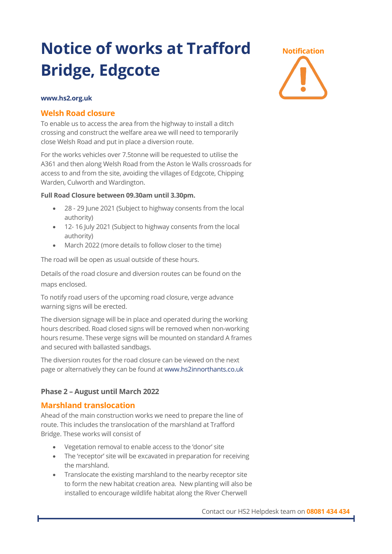

#### **www.hs2.org.uk**

### **Welsh Road closure**

To enable us to access the area from the highway to install a ditch crossing and construct the welfare area we will need to temporarily close Welsh Road and put in place a diversion route.

For the works vehicles over 7.5tonne will be requested to utilise the A361 and then along Welsh Road from the Aston le Walls crossroads for access to and from the site, avoiding the villages of Edgcote, Chipping Warden, Culworth and Wardington.

#### **Full Road Closure between 09.30am until 3.30pm.**

- 28 29 June 2021 (Subject to highway consents from the local authority)
- 12- 16 July 2021 (Subject to highway consents from the local authority)
- March 2022 (more details to follow closer to the time)

The road will be open as usual outside of these hours.

Details of the road closure and diversion routes can be found on the maps enclosed.

To notify road users of the upcoming road closure, verge advance warning signs will be erected.

The diversion signage will be in place and operated during the working hours described. Road closed signs will be removed when non-working hours resume. These verge signs will be mounted on standard A frames and secured with ballasted sandbags.

The diversion routes for the road closure can be viewed on the next page or alternatively they can be found at [www.hs2innorthants.co.uk](http://www.hs2innorthants.co.uk/)

#### **Phase 2 – August until March 2022**

#### **Marshland translocation**

Ahead of the main construction works we need to prepare the line of route. This includes the translocation of the marshland at Trafford Bridge. These works will consist of

- Vegetation removal to enable access to the 'donor' site
- The 'receptor' site will be excavated in preparation for receiving the marshland.
- Translocate the existing marshland to the nearby receptor site to form the new habitat creation area. New planting will also be installed to encourage wildlife habitat along the River Cherwell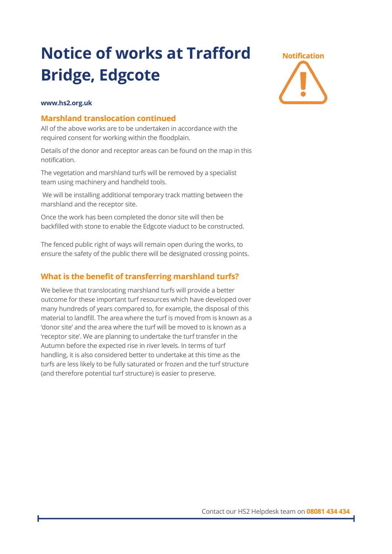

#### **www.hs2.org.uk**

#### **Marshland translocation continued**

All of the above works are to be undertaken in accordance with the required consent for working within the floodplain.

Details of the donor and receptor areas can be found on the map in this notification.

The vegetation and marshland turfs will be removed by a specialist team using machinery and handheld tools.

We will be installing additional temporary track matting between the marshland and the receptor site.

Once the work has been completed the donor site will then be backfilled with stone to enable the Edgcote viaduct to be constructed.

The fenced public right of ways will remain open during the works, to ensure the safety of the public there will be designated crossing points.

### **What is the benefit of transferring marshland turfs?**

We believe that translocating marshland turfs will provide a better outcome for these important turf resources which have developed over many hundreds of years compared to, for example, the disposal of this material to landfill. The area where the turf is moved from is known as a 'donor site' and the area where the turf will be moved to is known as a 'receptor site'. We are planning to undertake the turf transfer in the Autumn before the expected rise in river levels. In terms of turf handling, it is also considered better to undertake at this time as the turfs are less likely to be fully saturated or frozen and the turf structure (and therefore potential turf structure) is easier to preserve.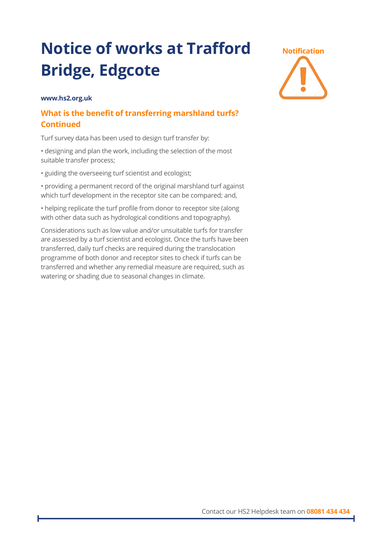#### **www.hs2.org.uk**

### **What is the benefit of transferring marshland turfs? Continued**

Turf survey data has been used to design turf transfer by:

- designing and plan the work, including the selection of the most suitable transfer process;
- guiding the overseeing turf scientist and ecologist;
- providing a permanent record of the original marshland turf against which turf development in the receptor site can be compared; and,
- helping replicate the turf profile from donor to receptor site (along with other data such as hydrological conditions and topography).

Considerations such as low value and/or unsuitable turfs for transfer are assessed by a turf scientist and ecologist. Once the turfs have been transferred, daily turf checks are required during the translocation programme of both donor and receptor sites to check if turfs can be transferred and whether any remedial measure are required, such as watering or shading due to seasonal changes in climate.

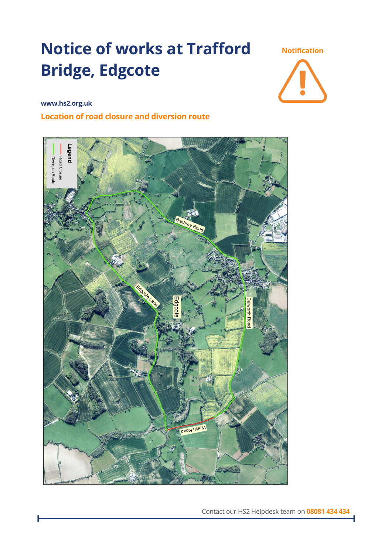**Notification**



**www.hs2.org.uk**

**Location of road closure and diversion route**



Contact our HS2 Helpdesk team on **08081 434 434**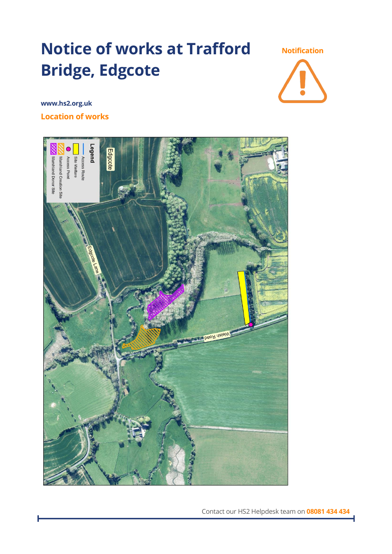**Notification**



**www.hs2.org.uk**

**Location of works**



Contact our HS2 Helpdesk team on **08081 434 434**